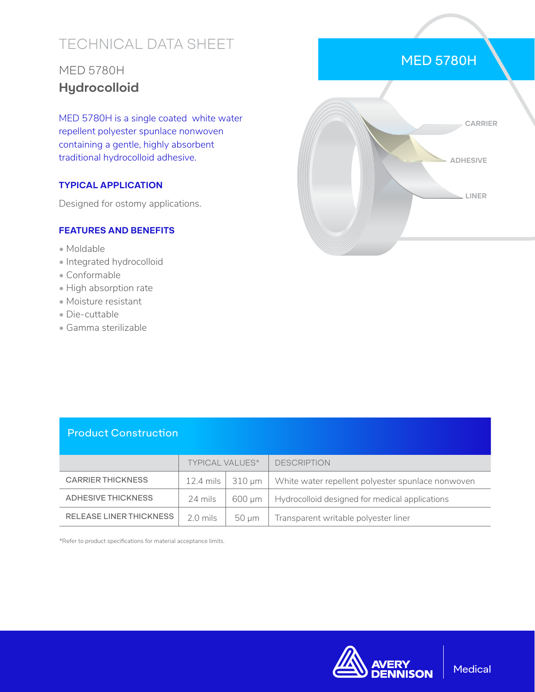# TECHNICAL DATA SHEET

## MED 5780H **Hydrocolloid**

MED 5780H is a single coated white water repellent polyester spunlace nonwoven containing a gentle, highly absorbent traditional hydrocolloid adhesive.

#### **TYPICAL APPLICATION**

Designed for ostomy applications.

#### **FEATURES AND BENEFITS**

- Moldable
- Integrated hydrocolloid
- Conformable
- High absorption rate
- Moisture resistant
- Die-cuttable
- Gamma sterilizable



MED 5780H

#### Product Construction

|                          | <b>TYPICAL VALUES*</b> |                          | <b>DESCRIPTION</b>                                |
|--------------------------|------------------------|--------------------------|---------------------------------------------------|
| <b>CARRIER THICKNESS</b> |                        | 12.4 mils $\vert$ 310 µm | White water repellent polyester spunlace nonwoven |
| ADHESIVE THICKNESS       | 24 mils                | 600 um                   | Hydrocolloid designed for medical applications    |
| RELEASE LINER THICKNESS  | $2.0$ mils             | $50 \mu m$               | Transparent writable polyester liner              |

\*Refer to product specifications for material acceptance limits.